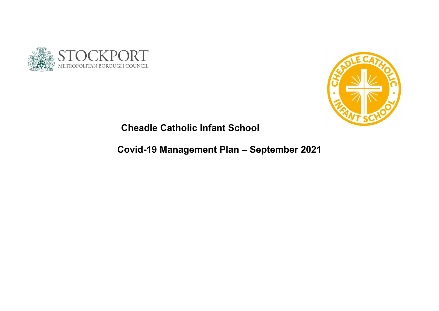



## Cheadle Catholic Infant School

# Covid-19 Management Plan – September 2021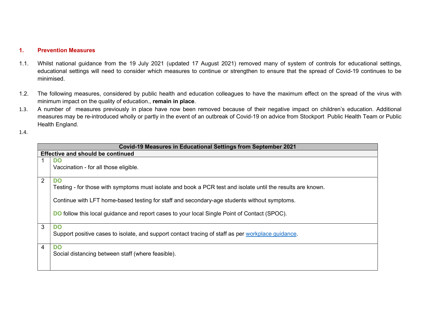## 1. Prevention Measures

- 1.1. Whilst national guidance from the 19 July 2021 (updated 17 August 2021) removed many of system of controls for educational settings, educational settings will need to consider which measures to continue or strengthen to ensure that the spread of Covid-19 continues to be minimised.
- 1.2. The following measures, considered by public health and education colleagues to have the maximum effect on the spread of the virus with minimum impact on the quality of education., remain in place.
- 1.3. A number of measures previously in place have now been removed because of their negative impact on children's education. Additional measures may be re-introduced wholly or partly in the event of an outbreak of Covid-19 on advice from Stockport Public Health Team or Public Health England.
- 1.4.

| <b>Covid-19 Measures in Educational Settings from September 2021</b> |                                                                                                             |  |
|----------------------------------------------------------------------|-------------------------------------------------------------------------------------------------------------|--|
| <b>Effective and should be continued</b>                             |                                                                                                             |  |
|                                                                      | <b>DO</b>                                                                                                   |  |
|                                                                      | Vaccination - for all those eligible.                                                                       |  |
| 2                                                                    | <b>DO</b>                                                                                                   |  |
|                                                                      | Testing - for those with symptoms must isolate and book a PCR test and isolate until the results are known. |  |
|                                                                      | Continue with LFT home-based testing for staff and secondary-age students without symptoms.                 |  |
|                                                                      | <b>DO</b> follow this local guidance and report cases to your local Single Point of Contact (SPOC).         |  |
| $\mathbf{3}$                                                         | <b>DO</b>                                                                                                   |  |
|                                                                      | Support positive cases to isolate, and support contact tracing of staff as per workplace guidance.          |  |
| $\overline{4}$                                                       | <b>DO</b>                                                                                                   |  |
|                                                                      | Social distancing between staff (where feasible).                                                           |  |
|                                                                      |                                                                                                             |  |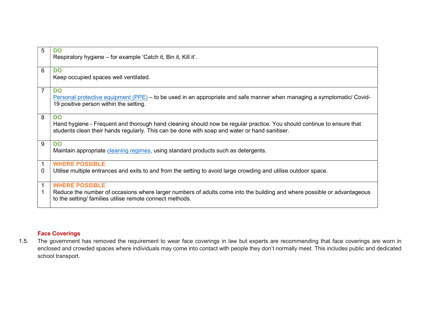| 5                          | <b>DO</b><br>Respiratory hygiene – for example 'Catch it, Bin it, Kill it'.                                                                                                                                                         |
|----------------------------|-------------------------------------------------------------------------------------------------------------------------------------------------------------------------------------------------------------------------------------|
| 6                          | <b>DO</b><br>Keep occupied spaces well ventilated.                                                                                                                                                                                  |
| $\overline{7}$             | <b>DO</b><br>Personal protective equipment (PPE) – to be used in an appropriate and safe manner when managing a symptomatic/ Covid-<br>19 positive person within the setting.                                                       |
| 8                          | <b>DO</b><br>Hand hygiene - Frequent and thorough hand cleaning should now be regular practice. You should continue to ensure that<br>students clean their hands regularly. This can be done with soap and water or hand sanitiser. |
| 9                          | <b>DO</b><br>Maintain appropriate cleaning regimes, using standard products such as detergents.                                                                                                                                     |
| $\mathbf 1$<br>$\mathbf 0$ | <b>WHERE POSSIBLE</b><br>Utilise multiple entrances and exits to and from the setting to avoid large crowding and utilise outdoor space.                                                                                            |
| $\mathbf{1}$<br>1          | <b>WHERE POSSIBLE</b><br>Reduce the number of occasions where larger numbers of adults come into the building and where possible or advantageous<br>to the setting/ families utilise remote connect methods.                        |

## Face Coverings

1.5. The government has removed the requirement to wear face coverings in law but experts are recommending that face coverings are worn in enclosed and crowded spaces where individuals may come into contact with people they don't normally meet. This includes public and dedicated school transport.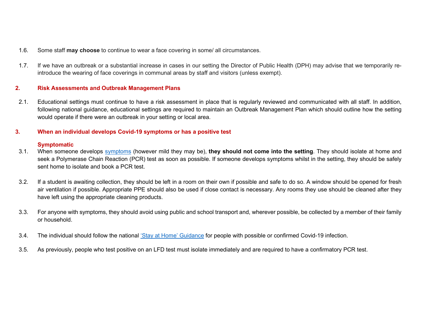- 1.6. Some staff may choose to continue to wear a face covering in some/ all circumstances.
- 1.7. If we have an outbreak or a substantial increase in cases in our setting the Director of Public Health (DPH) may advise that we temporarily reintroduce the wearing of face coverings in communal areas by staff and visitors (unless exempt).

## 2. Risk Assessments and Outbreak Management Plans

2.1. Educational settings must continue to have a risk assessment in place that is regularly reviewed and communicated with all staff. In addition, following national guidance, educational settings are required to maintain an Outbreak Management Plan which should outline how the setting would operate if there were an outbreak in your setting or local area.

## 3. When an individual develops Covid-19 symptoms or has a positive test

## **Symptomatic**

- 3.1. When someone develops symptoms (however mild they may be), they should not come into the setting. They should isolate at home and seek a Polymerase Chain Reaction (PCR) test as soon as possible. If someone develops symptoms whilst in the setting, they should be safely sent home to isolate and book a PCR test.
- 3.2. If a student is awaiting collection, they should be left in a room on their own if possible and safe to do so. A window should be opened for fresh air ventilation if possible. Appropriate PPE should also be used if close contact is necessary. Any rooms they use should be cleaned after they have left using the appropriate cleaning products.
- 3.3. For anyone with symptoms, they should avoid using public and school transport and, wherever possible, be collected by a member of their family or household.
- 3.4. The individual should follow the national 'Stay at Home' Guidance for people with possible or confirmed Covid-19 infection.
- 3.5. As previously, people who test positive on an LFD test must isolate immediately and are required to have a confirmatory PCR test.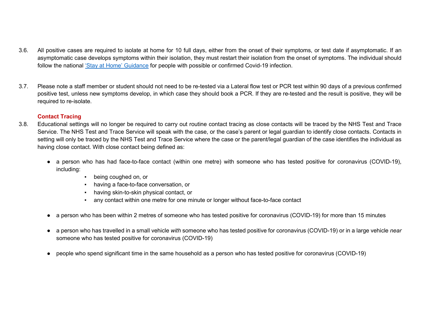- 3.6. All positive cases are required to isolate at home for 10 full days, either from the onset of their symptoms, or test date if asymptomatic. If an asymptomatic case develops symptoms within their isolation, they must restart their isolation from the onset of symptoms. The individual should follow the national 'Stay at Home' Guidance for people with possible or confirmed Covid-19 infection.
- 3.7. Please note a staff member or student should not need to be re-tested via a Lateral flow test or PCR test within 90 days of a previous confirmed positive test, unless new symptoms develop, in which case they should book a PCR. If they are re-tested and the result is positive, they will be required to re-isolate.

## Contact Tracing

- 3.8. Educational settings will no longer be required to carry out routine contact tracing as close contacts will be traced by the NHS Test and Trace Service. The NHS Test and Trace Service will speak with the case, or the case's parent or legal guardian to identify close contacts. Contacts in setting will only be traced by the NHS Test and Trace Service where the case or the parent/legal guardian of the case identifies the individual as having close contact. With close contact being defined as:
	- a person who has had face-to-face contact (within one metre) with someone who has tested positive for coronavirus (COVID-19), including:
		- being coughed on, or
		- having a face-to-face conversation, or
		- having skin-to-skin physical contact, or
		- any contact within one metre for one minute or longer without face-to-face contact
	- a person who has been within 2 metres of someone who has tested positive for coronavirus (COVID-19) for more than 15 minutes
	- a person who has travelled in a small vehicle with someone who has tested positive for coronavirus (COVID-19) or in a large vehicle near someone who has tested positive for coronavirus (COVID-19)
	- people who spend significant time in the same household as a person who has tested positive for coronavirus (COVID-19)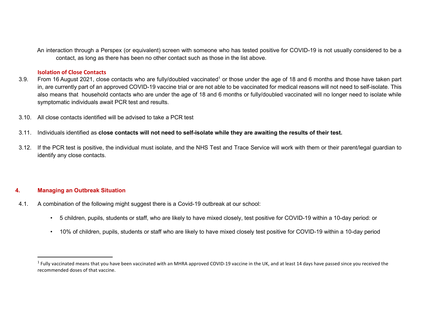An interaction through a Perspex (or equivalent) screen with someone who has tested positive for COVID-19 is not usually considered to be a contact, as long as there has been no other contact such as those in the list above.

#### Isolation of Close Contacts

- 3.9. From 16 August 2021, close contacts who are fully/doubled vaccinated<sup>1</sup> or those under the age of 18 and 6 months and those have taken part in, are currently part of an approved COVID-19 vaccine trial or are not able to be vaccinated for medical reasons will not need to self-isolate. This also means that household contacts who are under the age of 18 and 6 months or fully/doubled vaccinated will no longer need to isolate while symptomatic individuals await PCR test and results.
- 3.10. All close contacts identified will be advised to take a PCR test
- 3.11. Individuals identified as close contacts will not need to self-isolate while they are awaiting the results of their test.
- 3.12. If the PCR test is positive, the individual must isolate, and the NHS Test and Trace Service will work with them or their parent/legal guardian to identify any close contacts.

## 4. Managing an Outbreak Situation

- 4.1. A combination of the following might suggest there is a Covid-19 outbreak at our school:
	- 5 children, pupils, students or staff, who are likely to have mixed closely, test positive for COVID-19 within a 10-day period: or
	- 10% of children, pupils, students or staff who are likely to have mixed closely test positive for COVID-19 within a 10-day period

 $^1$  Fully vaccinated means that you have been vaccinated with an MHRA approved COVID-19 vaccine in the UK, and at least 14 days have passed since you received the recommended doses of that vaccine.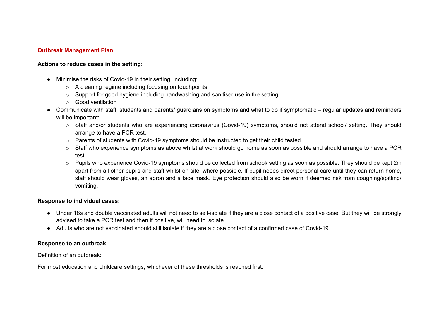### Outbreak Management Plan

### Actions to reduce cases in the setting:

- Minimise the risks of Covid-19 in their setting, including:
	- o A cleaning regime including focusing on touchpoints
	- o Support for good hygiene including handwashing and sanitiser use in the setting
	- o Good ventilation
- Communicate with staff, students and parents/ guardians on symptoms and what to do if symptomatic regular updates and reminders will be important:
	- o Staff and/or students who are experiencing coronavirus (Covid-19) symptoms, should not attend school/ setting. They should arrange to have a PCR test.
	- o Parents of students with Covid-19 symptoms should be instructed to get their child tested.
	- $\circ$  Staff who experience symptoms as above whilst at work should go home as soon as possible and should arrange to have a PCR test.
	- $\circ$  Pupils who experience Covid-19 symptoms should be collected from school/ setting as soon as possible. They should be kept 2m apart from all other pupils and staff whilst on site, where possible. If pupil needs direct personal care until they can return home, staff should wear gloves, an apron and a face mask. Eye protection should also be worn if deemed risk from coughing/spitting/ vomiting.

#### Response to individual cases:

- Under 18s and double vaccinated adults will not need to self-isolate if they are a close contact of a positive case. But they will be strongly advised to take a PCR test and then if positive, will need to isolate.
- Adults who are not vaccinated should still isolate if they are a close contact of a confirmed case of Covid-19.

#### Response to an outbreak:

Definition of an outbreak:

For most education and childcare settings, whichever of these thresholds is reached first: